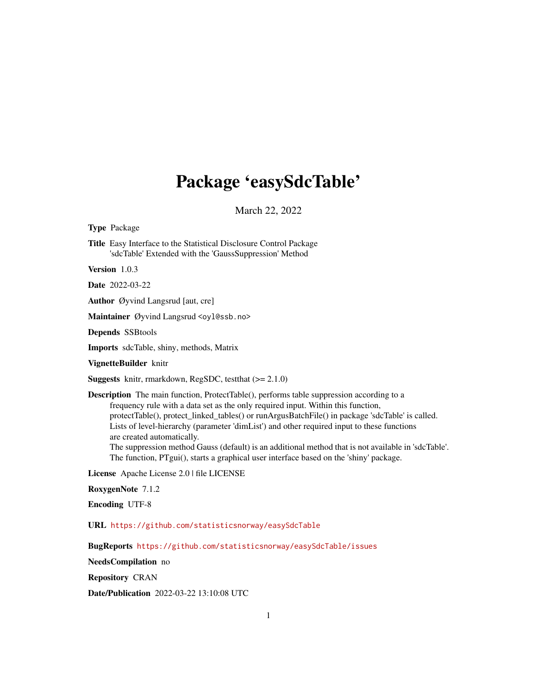# Package 'easySdcTable'

March 22, 2022

<span id="page-0-0"></span>Type Package

Title Easy Interface to the Statistical Disclosure Control Package 'sdcTable' Extended with the 'GaussSuppression' Method

Version 1.0.3

Date 2022-03-22

Author Øyvind Langsrud [aut, cre]

Maintainer Øyvind Langsrud <oyl@ssb.no>

Depends SSBtools

Imports sdcTable, shiny, methods, Matrix

VignetteBuilder knitr

**Suggests** knitr, rmarkdown, RegSDC, test that  $(>= 2.1.0)$ 

Description The main function, ProtectTable(), performs table suppression according to a frequency rule with a data set as the only required input. Within this function, protectTable(), protect linked tables() or runArgusBatchFile() in package 'sdcTable' is called. Lists of level-hierarchy (parameter 'dimList') and other required input to these functions are created automatically.

The suppression method Gauss (default) is an additional method that is not available in 'sdcTable'. The function, PTgui(), starts a graphical user interface based on the 'shiny' package.

License Apache License 2.0 | file LICENSE

RoxygenNote 7.1.2

Encoding UTF-8

URL <https://github.com/statisticsnorway/easySdcTable>

BugReports <https://github.com/statisticsnorway/easySdcTable/issues>

NeedsCompilation no

Repository CRAN

Date/Publication 2022-03-22 13:10:08 UTC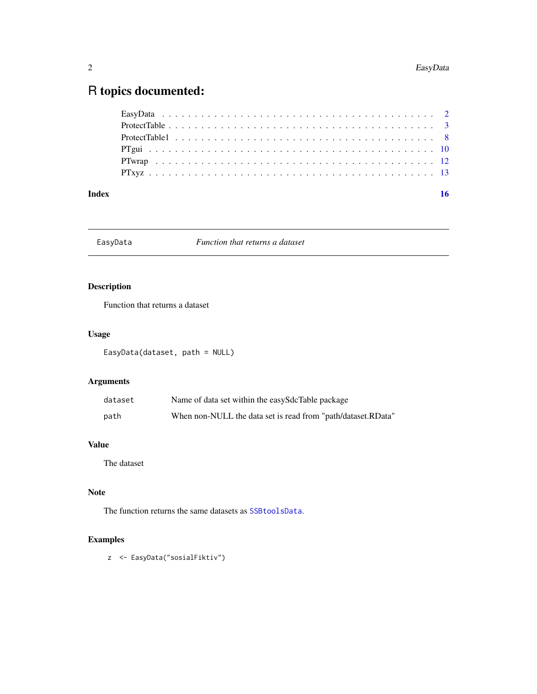## <span id="page-1-0"></span>R topics documented:

| Index | 16 |
|-------|----|
|       |    |
|       |    |
|       |    |
|       |    |
|       |    |
|       |    |

EasyData *Function that returns a dataset*

### Description

Function that returns a dataset

### Usage

EasyData(dataset, path = NULL)

### Arguments

| dataset | Name of data set within the easySdcTable package             |
|---------|--------------------------------------------------------------|
| path    | When non-NULL the data set is read from "path/dataset.RData" |

#### Value

The dataset

#### Note

The function returns the same datasets as [SSBtoolsData](#page-0-0).

### Examples

z <- EasyData("sosialFiktiv")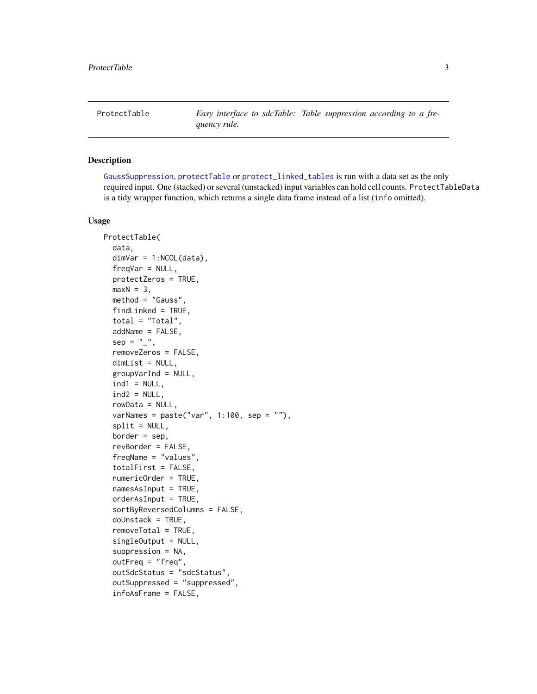<span id="page-2-1"></span><span id="page-2-0"></span>ProtectTable *Easy interface to sdcTable: Table suppression according to a frequency rule.*

#### Description

[GaussSuppression](#page-0-0), [protectTable](#page-0-0) or [protect\\_linked\\_tables](#page-0-0) is run with a data set as the only required input. One (stacked) or several (unstacked) input variables can hold cell counts. ProtectTableData is a tidy wrapper function, which returns a single data frame instead of a list (info omitted).

#### Usage

```
ProtectTable(
  data,
  dimVar = 1:NCOL(data),
  freqVar = NULL,
  protectZeros = TRUE,
  maxN = 3,
  method = "Gauss",
  findLinked = TRUE,
  total = "Total",addName = FALSE,
  sep = "''',removeZeros = FALSE,
  dimList = NULL,groupVarInd = NULL,
  ind1 = NULL,ind2 = NULL,rowData = NULL,
  varNames = past("var", 1:100, sep = ""),
  split = NULL,border = sep,revBorder = FALSE,
  freqName = "values",
  totalFirst = FALSE,
  numericOrder = TRUE,
  namesAsInput = TRUE,
  orderAsInput = TRUE,sortByReversedColumns = FALSE,
  doUnstack = TRUE,
  removeTotal = TRUE,
  singleOutput = NULL,
  suppression = NA,
  outFreq = "freq",outSdcStatus = "sdcStatus",
  outSuppressed = "suppressed",
  infoAsFrame = FALSE,
```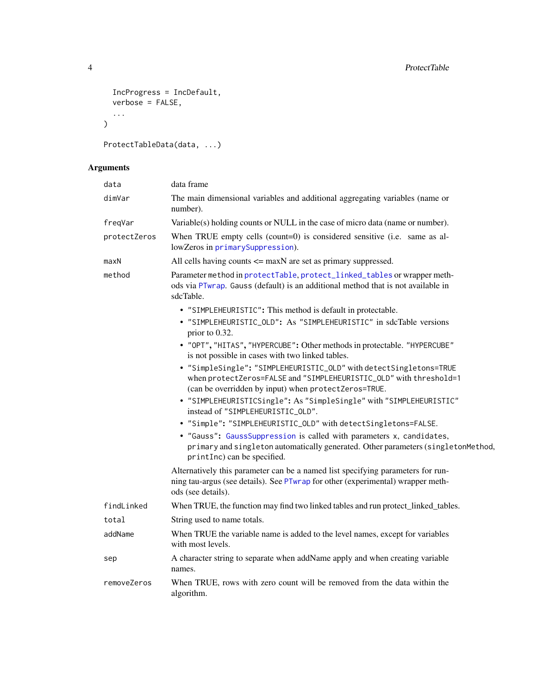```
IncProgress = IncDefault,
  verbose = FALSE,
  ...
\lambda
```

```
ProtectTableData(data, ...)
```
### Arguments

| data         | data frame                                                                                                                                                                                       |
|--------------|--------------------------------------------------------------------------------------------------------------------------------------------------------------------------------------------------|
| dimVar       | The main dimensional variables and additional aggregating variables (name or<br>number).                                                                                                         |
| freqVar      | Variable(s) holding counts or NULL in the case of micro data (name or number).                                                                                                                   |
| protectZeros | When TRUE empty cells (count=0) is considered sensitive (i.e. same as al-<br>lowZeros in primarySuppression).                                                                                    |
| maxN         | All cells having counts $\leq$ maxN are set as primary suppressed.                                                                                                                               |
| method       | Parameter method in protectTable, protect_linked_tables or wrapper meth-<br>ods via PTwrap. Gauss (default) is an additional method that is not available in<br>sdcTable.                        |
|              | • "SIMPLEHEURISTIC": This method is default in protectable.                                                                                                                                      |
|              | • "SIMPLEHEURISTIC_OLD": As "SIMPLEHEURISTIC" in sdcTable versions<br>prior to 0.32.                                                                                                             |
|              | • "OPT", "HITAS", "HYPERCUBE": Other methods in protectable. "HYPERCUBE"<br>is not possible in cases with two linked tables.                                                                     |
|              | • "SimpleSingle": "SIMPLEHEURISTIC_OLD" with detectSingletons=TRUE<br>when protectZeros=FALSE and "SIMPLEHEURISTIC_OLD" with threshold=1<br>(can be overridden by input) when protectZeros=TRUE. |
|              | • "SIMPLEHEURISTICSingle": As "SimpleSingle" with "SIMPLEHEURISTIC"<br>instead of "SIMPLEHEURISTIC_OLD".                                                                                         |
|              | • "Simple": "SIMPLEHEURISTIC_OLD" with detectSingletons=FALSE.                                                                                                                                   |
|              | • "Gauss": GaussSuppression is called with parameters x, candidates,<br>primary and singleton automatically generated. Other parameters (singletonMethod,<br>printInc) can be specified.         |
|              | Alternatively this parameter can be a named list specifying parameters for run-<br>ning tau-argus (see details). See PTwrap for other (experimental) wrapper meth-<br>ods (see details).         |
| findLinked   | When TRUE, the function may find two linked tables and run protect_linked_tables.                                                                                                                |
| total        | String used to name totals.                                                                                                                                                                      |
| addName      | When TRUE the variable name is added to the level names, except for variables<br>with most levels.                                                                                               |
| sep          | A character string to separate when addName apply and when creating variable<br>names.                                                                                                           |
| removeZeros  | When TRUE, rows with zero count will be removed from the data within the<br>algorithm.                                                                                                           |
|              |                                                                                                                                                                                                  |

<span id="page-3-0"></span>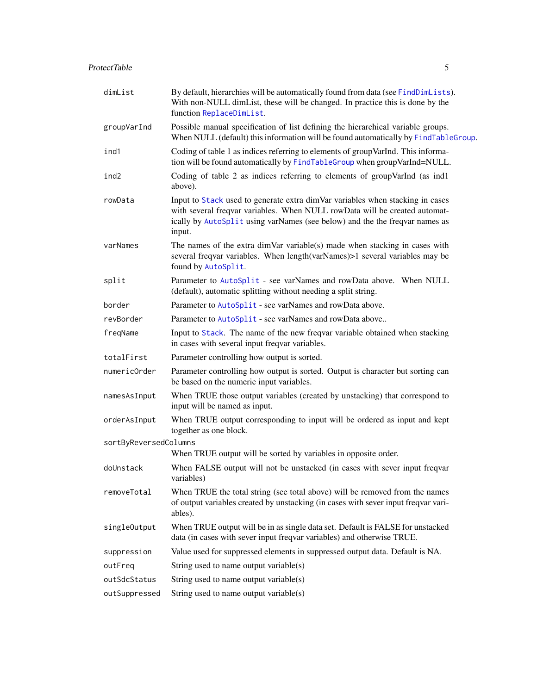<span id="page-4-0"></span>

| dimList               | By default, hierarchies will be automatically found from data (see FindDimLists).<br>With non-NULL dimList, these will be changed. In practice this is done by the<br>function ReplaceDimList.                                                       |
|-----------------------|------------------------------------------------------------------------------------------------------------------------------------------------------------------------------------------------------------------------------------------------------|
| groupVarInd           | Possible manual specification of list defining the hierarchical variable groups.<br>When NULL (default) this information will be found automatically by FindTableGroup.                                                                              |
| ind1                  | Coding of table 1 as indices referring to elements of group VarInd. This informa-<br>tion will be found automatically by FindTableGroup when groupVarInd=NULL.                                                                                       |
| ind2                  | Coding of table 2 as indices referring to elements of groupVarInd (as ind1<br>above).                                                                                                                                                                |
| rowData               | Input to Stack used to generate extra dimVar variables when stacking in cases<br>with several freqvar variables. When NULL rowData will be created automat-<br>ically by AutoSplit using varNames (see below) and the the freqvar names as<br>input. |
| varNames              | The names of the extra dimVar variable(s) made when stacking in cases with<br>several freqvar variables. When length (varNames) > 1 several variables may be<br>found by AutoSplit.                                                                  |
| split                 | Parameter to AutoSplit - see varNames and rowData above. When NULL<br>(default), automatic splitting without needing a split string.                                                                                                                 |
| border                | Parameter to AutoSplit - see varNames and rowData above.                                                                                                                                                                                             |
| revBorder             | Parameter to AutoSplit - see varNames and rowData above                                                                                                                                                                                              |
| freqName              | Input to Stack. The name of the new freqvar variable obtained when stacking<br>in cases with several input freqvar variables.                                                                                                                        |
| totalFirst            | Parameter controlling how output is sorted.                                                                                                                                                                                                          |
| numericOrder          | Parameter controlling how output is sorted. Output is character but sorting can<br>be based on the numeric input variables.                                                                                                                          |
| namesAsInput          | When TRUE those output variables (created by unstacking) that correspond to<br>input will be named as input.                                                                                                                                         |
| orderAsInput          | When TRUE output corresponding to input will be ordered as input and kept<br>together as one block.                                                                                                                                                  |
| sortByReversedColumns |                                                                                                                                                                                                                                                      |
|                       | When TRUE output will be sorted by variables in opposite order.                                                                                                                                                                                      |
| doUnstack             | When FALSE output will not be unstacked (in cases with sever input freqvar<br>variables)                                                                                                                                                             |
| removeTotal           | When TRUE the total string (see total above) will be removed from the names<br>of output variables created by unstacking (in cases with sever input freqvar vari-<br>ables).                                                                         |
| singleOutput          | When TRUE output will be in as single data set. Default is FALSE for unstacked<br>data (in cases with sever input freqvar variables) and otherwise TRUE.                                                                                             |
| suppression           | Value used for suppressed elements in suppressed output data. Default is NA.                                                                                                                                                                         |
| outFreq               | String used to name output variable $(s)$                                                                                                                                                                                                            |
| outSdcStatus          | String used to name output variable(s)                                                                                                                                                                                                               |
| outSuppressed         | String used to name output variable(s)                                                                                                                                                                                                               |
|                       |                                                                                                                                                                                                                                                      |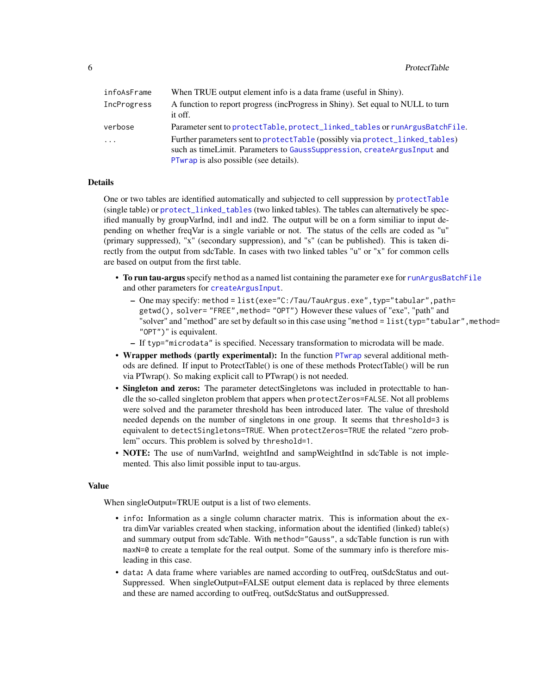<span id="page-5-0"></span>

| infoAsFrame | When TRUE output element info is a data frame (useful in Shiny).                                                                                                                                      |
|-------------|-------------------------------------------------------------------------------------------------------------------------------------------------------------------------------------------------------|
| IncProgress | A function to report progress (incProgress in Shiny). Set equal to NULL to turn<br>it off.                                                                                                            |
| verbose     | Parameter sent to protectTable, protect_linked_tables or runArgusBatchFile.                                                                                                                           |
| $\cdot$     | Further parameters sent to protectTable (possibly via protect_linked_tables)<br>such as time Limit. Parameters to Gauss Suppression, create Argus Input and<br>PTwrap is also possible (see details). |

#### Details

One or two tables are identified automatically and subjected to cell suppression by [protectTable](#page-0-0) (single table) or [protect\\_linked\\_tables](#page-0-0) (two linked tables). The tables can alternatively be specified manually by groupVarInd, ind1 and ind2. The output will be on a form similiar to input depending on whether freqVar is a single variable or not. The status of the cells are coded as "u" (primary suppressed), "x" (secondary suppression), and "s" (can be published). This is taken directly from the output from sdcTable. In cases with two linked tables "u" or "x" for common cells are based on output from the first table.

- To run tau-argus specify method as a named list containing the parameter exe for [runArgusBatchFile](#page-0-0) and other parameters for [createArgusInput](#page-0-0).
	- One may specify: method = list(exe="C:/Tau/TauArgus.exe",typ="tabular",path= getwd(), solver= "FREE",method= "OPT") However these values of "exe", "path" and "solver" and "method" are set by default so in this case using "method = list(typ="tabular", method=" "OPT")" is equivalent.
	- If typ="microdata" is specified. Necessary transformation to microdata will be made.
- Wrapper methods (partly experimental): In the function [PTwrap](#page-11-1) several additional methods are defined. If input to ProtectTable() is one of these methods ProtectTable() will be run via PTwrap(). So making explicit call to PTwrap() is not needed.
- Singleton and zeros: The parameter detect Singletons was included in protecttable to handle the so-called singleton problem that appers when protectZeros=FALSE. Not all problems were solved and the parameter threshold has been introduced later. The value of threshold needed depends on the number of singletons in one group. It seems that threshold=3 is equivalent to detectSingletons=TRUE. When protectZeros=TRUE the related "zero problem" occurs. This problem is solved by threshold=1.
- NOTE: The use of numVarInd, weightInd and sampWeightInd in sdcTable is not implemented. This also limit possible input to tau-argus.

#### Value

When singleOutput=TRUE output is a list of two elements.

- info: Information as a single column character matrix. This is information about the extra dimVar variables created when stacking, information about the identified (linked) table(s) and summary output from sdcTable. With method="Gauss", a sdcTable function is run with maxN=0 to create a template for the real output. Some of the summary info is therefore misleading in this case.
- data: A data frame where variables are named according to outFreq, outSdcStatus and out-Suppressed. When singleOutput=FALSE output element data is replaced by three elements and these are named according to outFreq, outSdcStatus and outSuppressed.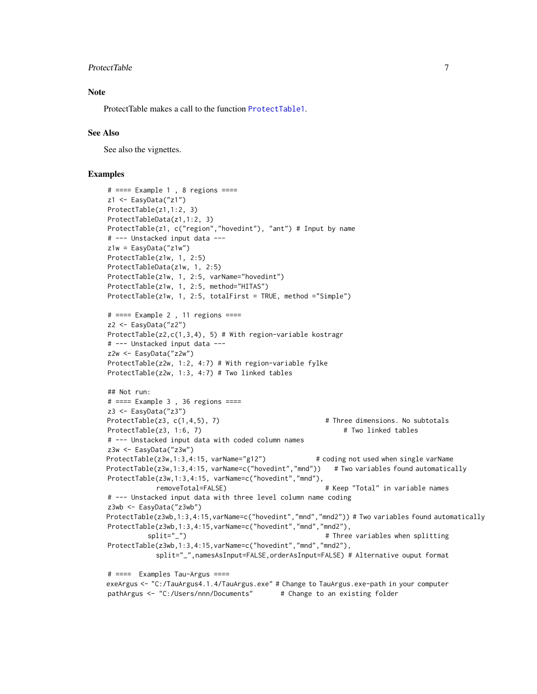#### <span id="page-6-0"></span>ProtectTable 7 and 2012 19:00 19:00 19:00 19:00 19:00 19:00 19:00 19:00 19:00 19:00 19:00 19:00 19:00 19:00 19:00 19:00 19:00 19:00 19:00 19:00 19:00 19:00 19:00 19:00 19:00 19:00 19:00 19:00 19:00 19:00 19:00 19:00 19:00

#### **Note**

ProtectTable makes a call to the function [ProtectTable1](#page-7-1).

#### See Also

See also the vignettes.

#### Examples

```
# === Example 1, 8 regions ===z1 <- EasyData("z1")
ProtectTable(z1,1:2, 3)
ProtectTableData(z1,1:2, 3)
ProtectTable(z1, c("region","hovedint"), "ant") # Input by name
# --- Unstacked input data ---
z1w = EasyData("z1w")
ProtectTable(z1w, 1, 2:5)
ProtectTableData(z1w, 1, 2:5)
ProtectTable(z1w, 1, 2:5, varName="hovedint")
ProtectTable(z1w, 1, 2:5, method="HITAS")
ProtectTable(z1w, 1, 2:5, totalFirst = TRUE, method ="Simple")
# ==== Example 2 , 11 regions ====
z2 <- EasyData("z2")
ProtectTable(z2,c(1,3,4), 5) # With region-variable kostragr
# --- Unstacked input data ---
z2w <- EasyData("z2w")
ProtectTable(z2w, 1:2, 4:7) # With region-variable fylke
ProtectTable(z2w, 1:3, 4:7) # Two linked tables
## Not run:
# ==== Example 3 , 36 regions ====
z3 <- EasyData("z3")
ProtectTable(z3, c(1,4,5), 7) # Three dimensions. No subtotals
ProtectTable(z3, 1:6, 7) \qquad # Two linked tables
# --- Unstacked input data with coded column names
z3w <- EasyData("z3w")
ProtectTable(z3w,1:3,4:15, varName="g12") # coding not used when single varName
ProtectTable(z3w,1:3,4:15, varName=c("hovedint","mnd")) # Two variables found automatically
ProtectTable(z3w,1:3,4:15, varName=c("hovedint","mnd"),
            removeTotal=FALSE) # Keep "Total" in variable names
# --- Unstacked input data with three level column name coding
z3wb <- EasyData("z3wb")
ProtectTable(z3wb,1:3,4:15,varName=c("hovedint","mnd","mnd2")) # Two variables found automatically
ProtectTable(z3wb,1:3,4:15, varName=c("hovedint","mnd","mnd2"),
          split="_") \qquad \qquad \qquad # Three variables when splitting
ProtectTable(z3wb,1:3,4:15, varName=c("hovedint","mnd","mnd2"),
            split="_",namesAsInput=FALSE,orderAsInput=FALSE) # Alternative ouput format
# ==== Examples Tau-Argus ====
exeArgus <- "C:/TauArgus4.1.4/TauArgus.exe" # Change to TauArgus.exe-path in your computer
pathArgus <- "C:/Users/nnn/Documents" # Change to an existing folder
```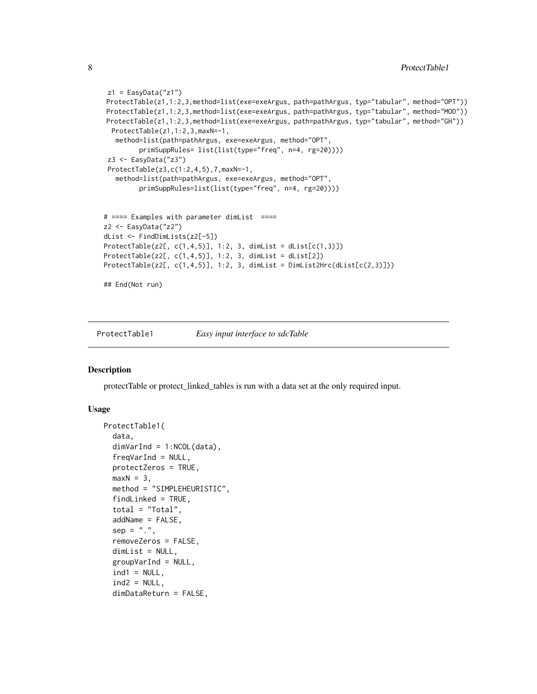```
z1 = EasyData("z1")ProtectTable(z1,1:2,3,method=list(exe=exeArgus, path=pathArgus, typ="tabular", method="OPT"))
ProtectTable(z1,1:2,3,method=list(exe=exeArgus, path=pathArgus, typ="tabular", method="MOD"))
ProtectTable(z1,1:2,3,method=list(exe=exeArgus, path=pathArgus, typ="tabular", method="GH"))
 ProtectTable(z1,1:2,3,maxN=-1,
  method=list(path=pathArgus, exe=exeArgus, method="OPT",
         primSuppRules= list(list(type="freq", n=4, rg=20))))
 z3 <- EasyData("z3")
 ProtectTable(z3,c(1:2,4,5),7,maxN=-1,
   method=list(path=pathArgus, exe=exeArgus, method="OPT",
         primSuppRules=list(list(type="freq", n=4, rg=20))))
# ==== Examples with parameter dimList ====
z2 <- EasyData("z2")
dList <- FindDimLists(z2[-5])
ProtectTable(z2[, c(1,4,5)], 1:2, 3, dimList = dList[c(1,3)])
ProtectTable(z2[, c(1,4,5)], 1:2, 3, dimList = dList[2])
ProtectTable(z2[, c(1,4,5)], 1:2, 3, dimList = DimList2Hrc(dList[c(2,3)]))
## End(Not run)
```
<span id="page-7-1"></span>ProtectTable1 *Easy input interface to sdcTable*

#### **Description**

protectTable or protect\_linked\_tables is run with a data set at the only required input.

#### Usage

```
ProtectTable1(
  data,
  dimVarInd = 1:NCOL(data),
  freqVarInd = NULL,
  protectZeros = TRUE,
 maxN = 3,
 method = "SIMPLEHEURISTIC",
  findLinked = TRUE,total = "Total",addName = FALSE,
  sep = "."removeZeros = FALSE,
  dimList = NULL,
  groupVarInd = NULL,ind1 = NULL,ind2 = NULL,dimDataReturn = FALSE,
```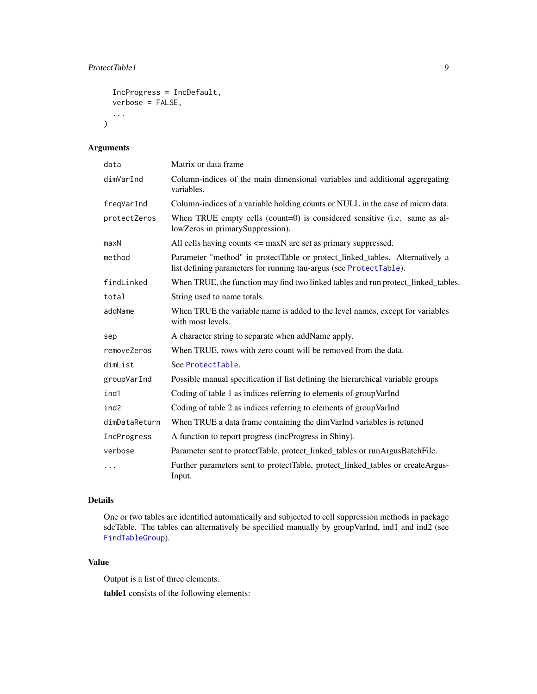#### <span id="page-8-0"></span>ProtectTable1 9

```
IncProgress = IncDefault,
verbose = FALSE,
...
```
#### Arguments

 $\mathcal{L}$ 

| data             | Matrix or data frame                                                                                                                               |
|------------------|----------------------------------------------------------------------------------------------------------------------------------------------------|
| dimVarInd        | Column-indices of the main dimensional variables and additional aggregating<br>variables.                                                          |
| freqVarInd       | Column-indices of a variable holding counts or NULL in the case of micro data.                                                                     |
| protectZeros     | When TRUE empty cells (count=0) is considered sensitive (i.e. same as al-<br>lowZeros in primarySuppression).                                      |
| maxN             | All cells having counts $\leq$ maxN are set as primary suppressed.                                                                                 |
| method           | Parameter "method" in protectTable or protect_linked_tables. Alternatively a<br>list defining parameters for running tau-argus (see ProtectTable). |
| findLinked       | When TRUE, the function may find two linked tables and run protect_linked_tables.                                                                  |
| total            | String used to name totals.                                                                                                                        |
| addName          | When TRUE the variable name is added to the level names, except for variables<br>with most levels.                                                 |
| sep              | A character string to separate when addName apply.                                                                                                 |
| removeZeros      | When TRUE, rows with zero count will be removed from the data.                                                                                     |
| dimList          | See ProtectTable.                                                                                                                                  |
| groupVarInd      | Possible manual specification if list defining the hierarchical variable groups                                                                    |
| ind1             | Coding of table 1 as indices referring to elements of group VarInd                                                                                 |
| ind <sub>2</sub> | Coding of table 2 as indices referring to elements of group VarInd                                                                                 |
| dimDataReturn    | When TRUE a data frame containing the dimVarInd variables is retuned                                                                               |
| IncProgress      | A function to report progress (incProgress in Shiny).                                                                                              |
| verbose          | Parameter sent to protectTable, protect_linked_tables or runArgusBatchFile.                                                                        |
| .                | Further parameters sent to protectTable, protect_linked_tables or createArgus-<br>Input.                                                           |

#### Details

One or two tables are identified automatically and subjected to cell suppression methods in package sdcTable. The tables can alternatively be specified manually by groupVarInd, ind1 and ind2 (see [FindTableGroup](#page-0-0)).

#### Value

Output is a list of three elements.

table1 consists of the following elements: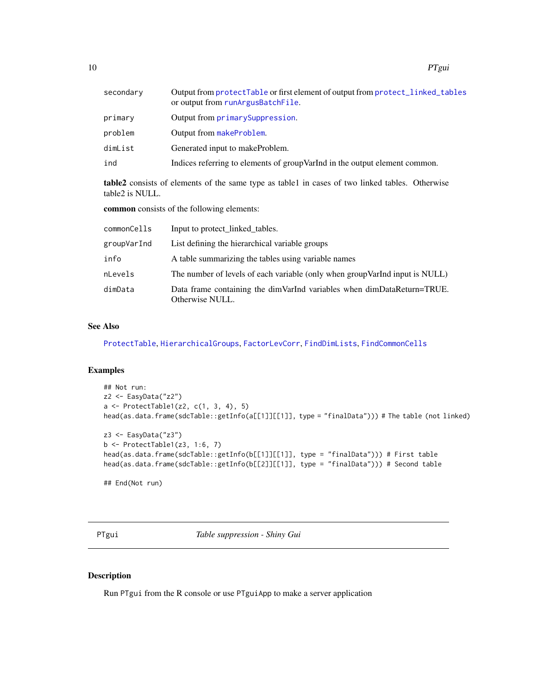<span id="page-9-0"></span>

| secondary | Output from protectTable or first element of output from protect_linked_tables<br>or output from runArgusBatchFile. |
|-----------|---------------------------------------------------------------------------------------------------------------------|
| primary   | Output from primary Suppression.                                                                                    |
| problem   | Output from makeProblem.                                                                                            |
| dimList   | Generated input to makeProblem.                                                                                     |
| ind       | Indices referring to elements of group VarInd in the output element common.                                         |
|           |                                                                                                                     |

table2 consists of elements of the same type as table1 in cases of two linked tables. Otherwise table2 is NULL.

common consists of the following elements:

| commonCells | Input to protect_linked_tables.                                                              |
|-------------|----------------------------------------------------------------------------------------------|
| groupVarInd | List defining the hierarchical variable groups                                               |
| info        | A table summarizing the tables using variable names                                          |
| nLevels     | The number of levels of each variable (only when group VarInd input is NULL)                 |
| dimData     | Data frame containing the dim VarInd variables when dim Data Return=TRUE.<br>Otherwise NULL. |

#### See Also

[ProtectTable](#page-2-1), [HierarchicalGroups](#page-0-0), [FactorLevCorr](#page-0-0), [FindDimLists](#page-0-0), [FindCommonCells](#page-0-0)

#### Examples

```
## Not run:
z2 <- EasyData("z2")
a <- ProtectTable1(z2, c(1, 3, 4), 5)
head(as.data.frame(sdcTable::getInfo(a[[1]][[1]], type = "finalData"))) # The table (not linked)
z3 <- EasyData("z3")
b <- ProtectTable1(z3, 1:6, 7)
head(as.data.frame(sdcTable::getInfo(b[[1]][[1]], type = "finalData"))) # First table
head(as.data.frame(sdcTable::getInfo(b[[2]][[1]], type = "finalData"))) # Second table
## End(Not run)
```
PTgui *Table suppression - Shiny Gui*

#### Description

Run PTgui from the R console or use PTguiApp to make a server application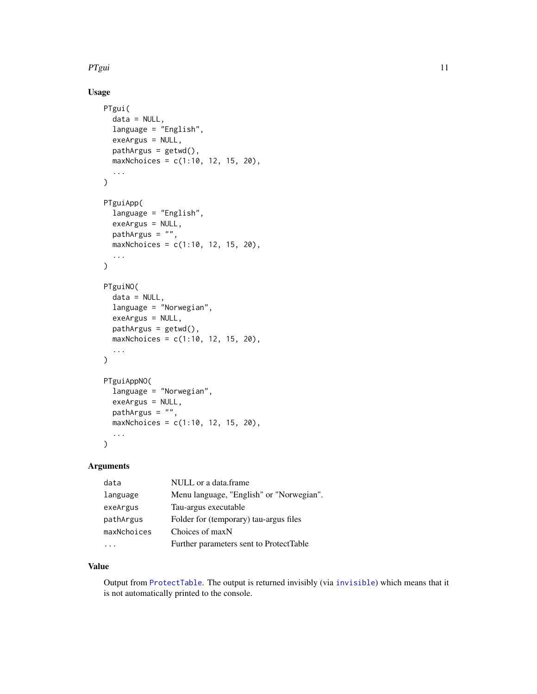#### <span id="page-10-0"></span>PTgui 2008 and 2009 and 2008 and 2009 and 2009 and 2009 and 2009 and 2009 and 2009 and 2009 and 2009 and 2009

#### Usage

```
PTgui(
  data = NULL,
  language = "English",
  exeArgus = NULL,
  pathArgus = getwd(),
  maxNchoices = c(1:10, 12, 15, 20),
  ...
\mathcal{L}PTguiApp(
  language = "English",
  exeArgus = NULL,
  pathArgus = "",maxNchoices = c(1:10, 12, 15, 20),
  ...
\mathcal{L}PTguiNO(
  data = NULL,language = "Norwegian",
  exeArgus = NULL,
  pathArgus = getwd(),
  maxNchoices = c(1:10, 12, 15, 20),
  ...
\mathcal{L}PTguiAppNO(
  language = "Norwegian",
  exeArgus = NULL,
  pathArgus = "",
  maxNchoices = c(1:10, 12, 15, 20),
  ...
\mathcal{L}
```
#### Arguments

| data        | NULL or a data.frame                     |
|-------------|------------------------------------------|
| language    | Menu language, "English" or "Norwegian". |
| exeArgus    | Tau-argus executable                     |
| pathArgus   | Folder for (temporary) tau-argus files   |
| maxNchoices | Choices of maxN                          |
|             | Further parameters sent to ProtectTable  |

#### Value

Output from [ProtectTable](#page-2-1). The output is returned invisibly (via [invisible](#page-0-0)) which means that it is not automatically printed to the console.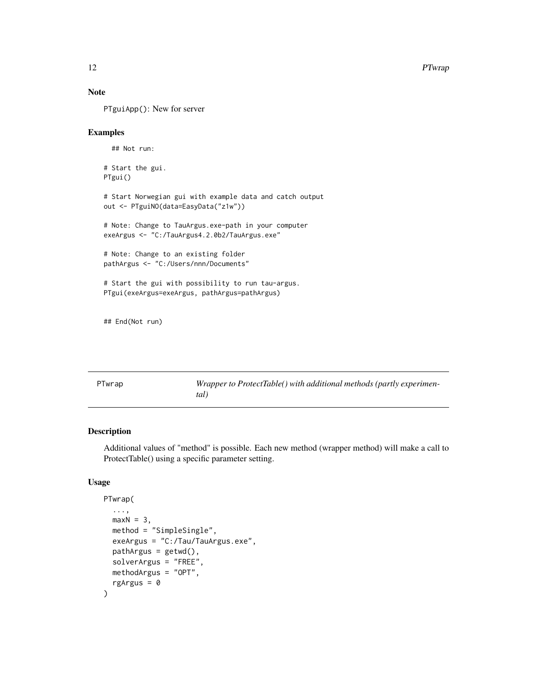#### Note

PTguiApp(): New for server

#### Examples

## Not run:

# Start the gui. PTgui()

# Start Norwegian gui with example data and catch output out <- PTguiNO(data=EasyData("z1w"))

# Note: Change to TauArgus.exe-path in your computer exeArgus <- "C:/TauArgus4.2.0b2/TauArgus.exe"

# Note: Change to an existing folder pathArgus <- "C:/Users/nnn/Documents"

# Start the gui with possibility to run tau-argus. PTgui(exeArgus=exeArgus, pathArgus=pathArgus)

## End(Not run)

<span id="page-11-1"></span>

| PTwrap | Wrapper to ProtectTable() with additional methods (partly experimen- |
|--------|----------------------------------------------------------------------|
|        | tal)                                                                 |

#### Description

Additional values of "method" is possible. Each new method (wrapper method) will make a call to ProtectTable() using a specific parameter setting.

#### Usage

```
PTwrap(
  ...,
 maxN = 3,
 method = "SimpleSingle",
 exeArgus = "C:/Tau/TauArgus.exe",
 pathArgus = getwd(),
  solverArgus = "FREE",
 methodArgus = "OPT",
  rgArgus = 0\mathcal{E}
```
<span id="page-11-0"></span>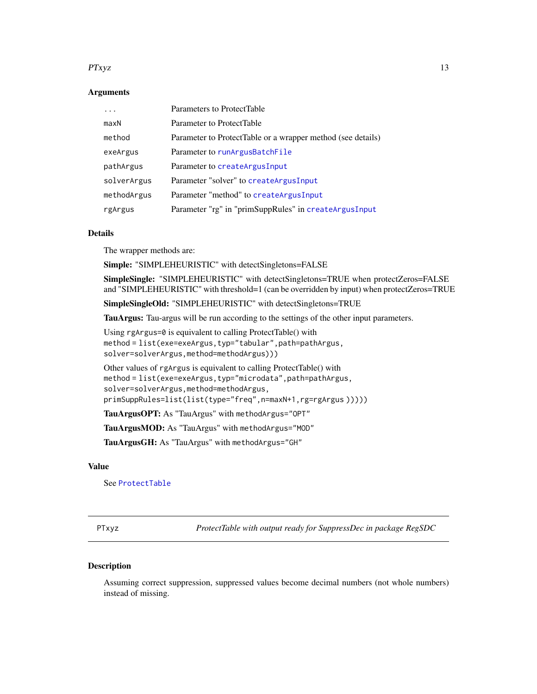#### <span id="page-12-0"></span> $PTxyz$  13

#### **Arguments**

|             | Parameters to ProtectTable                                  |
|-------------|-------------------------------------------------------------|
| maxN        | Parameter to ProtectTable                                   |
| method      | Parameter to ProtectTable or a wrapper method (see details) |
| exeArgus    | Parameter to runArgusBatchFile                              |
| pathArgus   | Parameter to createArgusInput                               |
| solverArgus | Parameter "solver" to createArgusInput                      |
| methodArgus | Parameter "method" to createArgusInput                      |
| rgArgus     | Parameter "rg" in "primSuppRules" in createArgusInput       |

#### Details

The wrapper methods are:

Simple: "SIMPLEHEURISTIC" with detectSingletons=FALSE

SimpleSingle: "SIMPLEHEURISTIC" with detectSingletons=TRUE when protectZeros=FALSE and "SIMPLEHEURISTIC" with threshold=1 (can be overridden by input) when protectZeros=TRUE

SimpleSingleOld: "SIMPLEHEURISTIC" with detectSingletons=TRUE

TauArgus: Tau-argus will be run according to the settings of the other input parameters.

Using rgArgus=0 is equivalent to calling ProtectTable() with method = list(exe=exeArgus,typ="tabular",path=pathArgus, solver=solverArgus,method=methodArgus)))

Other values of rgArgus is equivalent to calling ProtectTable() with method = list(exe=exeArgus,typ="microdata",path=pathArgus, solver=solverArgus,method=methodArgus, primSuppRules=list(list(type="freq",n=maxN+1,rg=rgArgus )))))

TauArgusOPT: As "TauArgus" with methodArgus="OPT"

TauArgusMOD: As "TauArgus" with methodArgus="MOD"

TauArgusGH: As "TauArgus" with methodArgus="GH"

#### Value

See [ProtectTable](#page-2-1)

PTxyz *ProtectTable with output ready for SuppressDec in package RegSDC*

#### Description

Assuming correct suppression, suppressed values become decimal numbers (not whole numbers) instead of missing.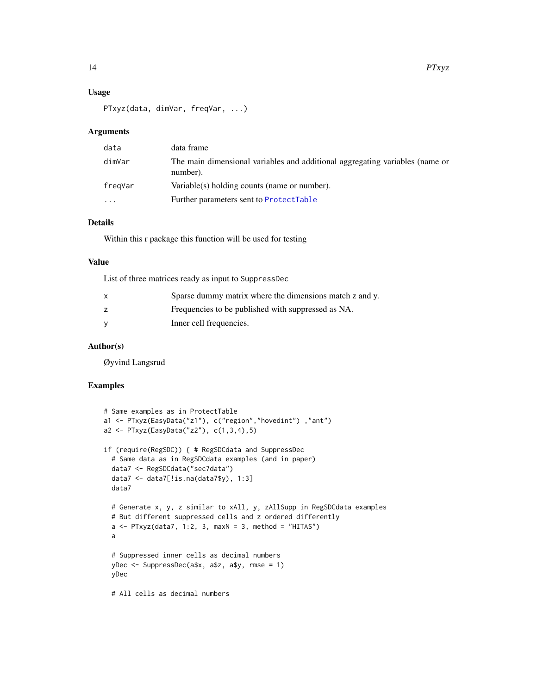#### <span id="page-13-0"></span>Usage

PTxyz(data, dimVar, freqVar, ...)

#### Arguments

| data     | data frame                                                                               |
|----------|------------------------------------------------------------------------------------------|
| dimVar   | The main dimensional variables and additional aggregating variables (name or<br>number). |
| fregVar  | Variable(s) holding counts (name or number).                                             |
| $\ddots$ | Further parameters sent to ProtectTable                                                  |

#### Details

Within this r package this function will be used for testing

#### Value

List of three matrices ready as input to SuppressDec

| $\mathsf{x}$ | Sparse dummy matrix where the dimensions match z and y. |
|--------------|---------------------------------------------------------|
|              | Frequencies to be published with suppressed as NA.      |
| - V          | Inner cell frequencies.                                 |

#### Author(s)

Øyvind Langsrud

#### Examples

```
# Same examples as in ProtectTable
a1 <- PTxyz(EasyData("z1"), c("region","hovedint") ,"ant")
a2 <- PTxyz(EasyData("z2"), c(1,3,4),5)
if (require(RegSDC)) { # RegSDCdata and SuppressDec
  # Same data as in RegSDCdata examples (and in paper)
  data7 <- RegSDCdata("sec7data")
  data7 <- data7[!is.na(data7$y), 1:3]
  data7
  # Generate x, y, z similar to xAll, y, zAllSupp in RegSDCdata examples
  # But different suppressed cells and z ordered differently
  a \leq PTxyz(data7, 1:2, 3, maxN = 3, method = "HITAS")
  a
  # Suppressed inner cells as decimal numbers
  yDec <- SuppressDec(a$x, a$z, a$y, rmse = 1)
  yDec
  # All cells as decimal numbers
```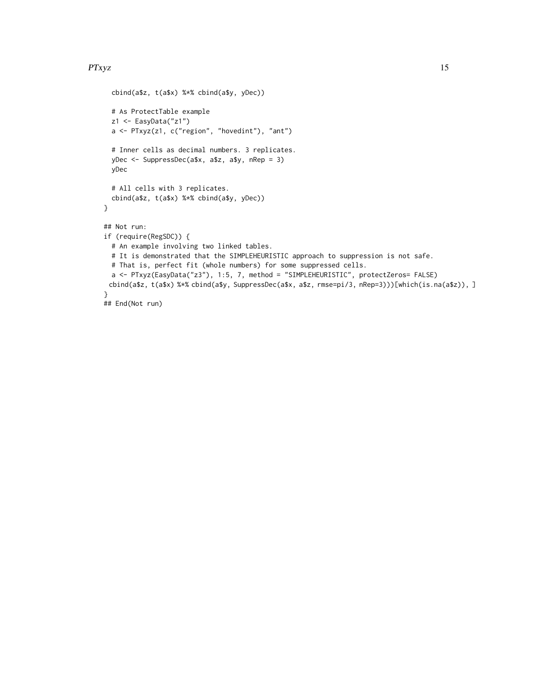#### $PTxyz$  15

```
cbind(a$z, t(a$x) %*% cbind(a$y, yDec))
  # As ProtectTable example
  z1 <- EasyData("z1")
  a <- PTxyz(z1, c("region", "hovedint"), "ant")
  # Inner cells as decimal numbers. 3 replicates.
  yDec <- SuppressDec(a$x, a$z, a$y, nRep = 3)
  yDec
  # All cells with 3 replicates.
  cbind(a$z, t(a$x) %*% cbind(a$y, yDec))
}
## Not run:
if (require(RegSDC)) {
  # An example involving two linked tables.
  # It is demonstrated that the SIMPLEHEURISTIC approach to suppression is not safe.
  # That is, perfect fit (whole numbers) for some suppressed cells.
  a <- PTxyz(EasyData("z3"), 1:5, 7, method = "SIMPLEHEURISTIC", protectZeros= FALSE)
 cbind(a$z, t(a$x) %*% cbind(a$y, SuppressDec(a$x, a$z, rmse=pi/3, nRep=3)))[which(is.na(a$z)), ]
}
## End(Not run)
```